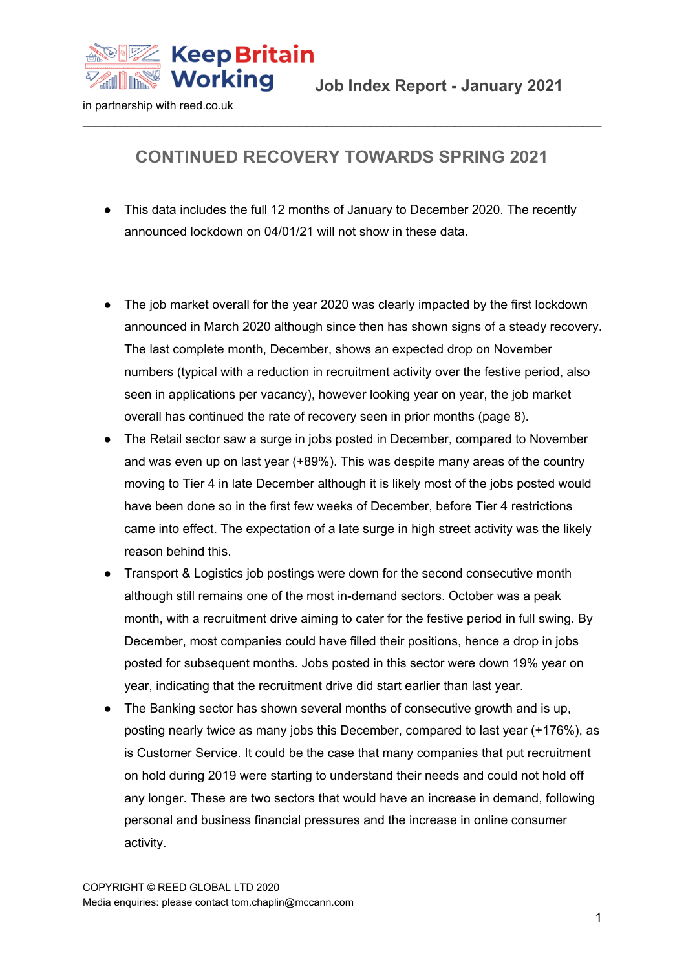

#### **CONTINUED RECOVERY TOWARDS SPRING 2021**

- This data includes the full 12 months of January to December 2020. The recently announced lockdown on 04/01/21 will not show in these data.
- The job market overall for the year 2020 was clearly impacted by the first lockdown announced in March 2020 although since then has shown signs of a steady recovery. The last complete month, December, shows an expected drop on November numbers (typical with a reduction in recruitment activity over the festive period, also seen in applications per vacancy), however looking year on year, the job market overall has continued the rate of recovery seen in prior months (page 8).
- The Retail sector saw a surge in jobs posted in December, compared to November and was even up on last year (+89%). This was despite many areas of the country moving to Tier 4 in late December although it is likely most of the jobs posted would have been done so in the first few weeks of December, before Tier 4 restrictions came into effect. The expectation of a late surge in high street activity was the likely reason behind this.
- Transport & Logistics job postings were down for the second consecutive month although still remains one of the most in-demand sectors. October was a peak month, with a recruitment drive aiming to cater for the festive period in full swing. By December, most companies could have filled their positions, hence a drop in jobs posted for subsequent months. Jobs posted in this sector were down 19% year on year, indicating that the recruitment drive did start earlier than last year.
- The Banking sector has shown several months of consecutive growth and is up, posting nearly twice as many jobs this December, compared to last year (+176%), as is Customer Service. It could be the case that many companies that put recruitment on hold during 2019 were starting to understand their needs and could not hold off any longer. These are two sectors that would have an increase in demand, following personal and business financial pressures and the increase in online consumer activity.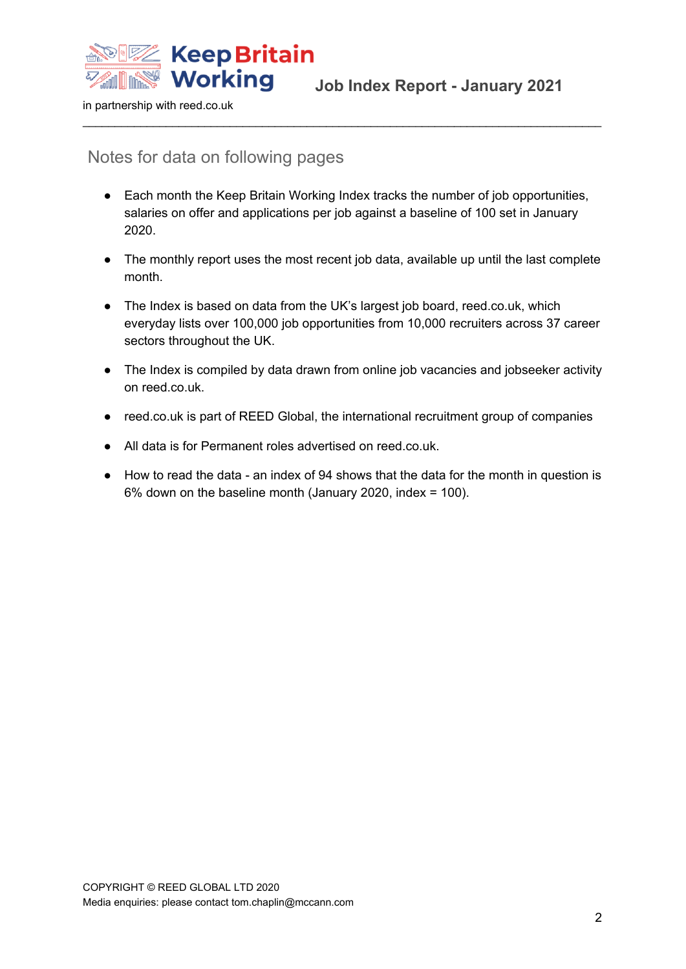

#### Notes for data on following pages

● Each month the Keep Britain Working Index tracks the number of job opportunities, salaries on offer and applications per job against a baseline of 100 set in January 2020.

- The monthly report uses the most recent job data, available up until the last complete month.
- The Index is based on data from the UK's largest job board, reed.co.uk, which everyday lists over 100,000 job opportunities from 10,000 recruiters across 37 career sectors throughout the UK.
- The Index is compiled by data drawn from online job vacancies and jobseeker activity on reed.co.uk.
- reed.co.uk is part of REED Global, the international recruitment group of companies
- All data is for Permanent roles advertised on reed.co.uk.
- How to read the data an index of 94 shows that the data for the month in question is 6% down on the baseline month (January 2020, index = 100).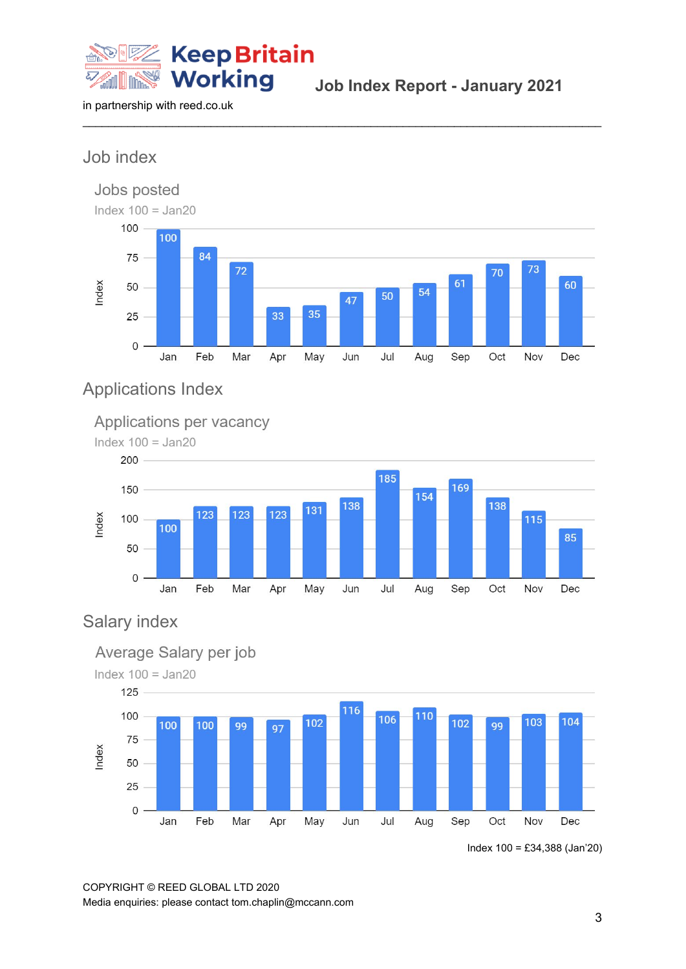

**Job Index Report - January 2021**

in partnership with reed.co.uk

## Job index



 $\_$  ,  $\_$  ,  $\_$  ,  $\_$  ,  $\_$  ,  $\_$  ,  $\_$  ,  $\_$  ,  $\_$  ,  $\_$  ,  $\_$  ,  $\_$  ,  $\_$  ,  $\_$  ,  $\_$  ,  $\_$  ,  $\_$  ,  $\_$  ,  $\_$  ,  $\_$  ,  $\_$  ,  $\_$  ,  $\_$  ,  $\_$  ,  $\_$  ,  $\_$  ,  $\_$  ,  $\_$  ,  $\_$  ,  $\_$  ,  $\_$  ,  $\_$  ,  $\_$  ,  $\_$  ,  $\_$  ,  $\_$  ,  $\_$  ,

### Applications Index

#### Applications per vacancy



### Salary index



Index 100 = £34,388 (Jan'20)

COPYRIGHT © REED GLOBAL LTD 2020 Media enquiries: please contact tom.chaplin@mccann.com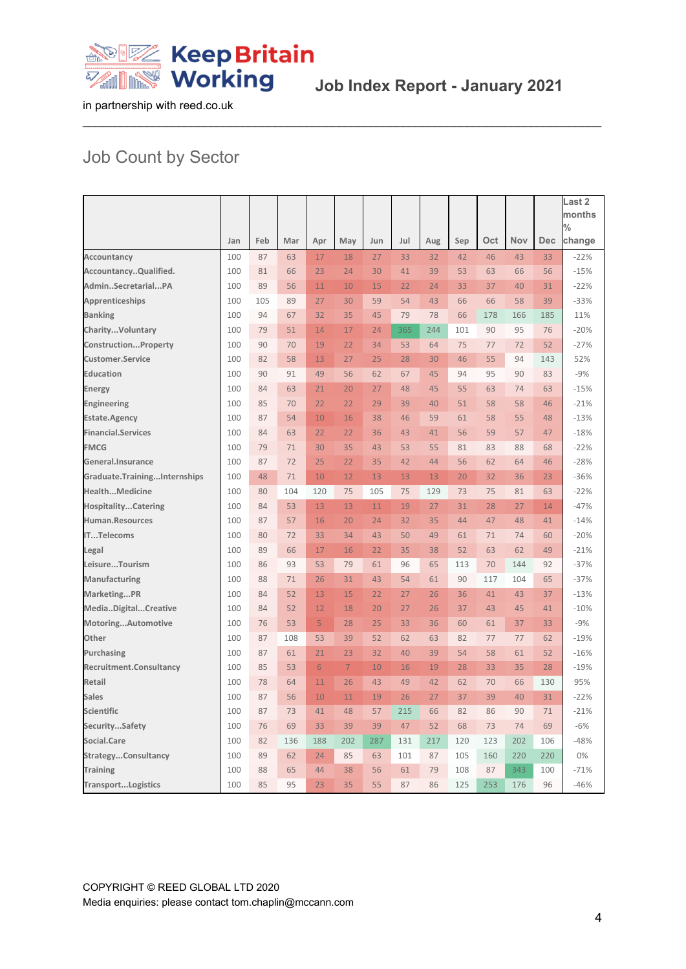

# Job Count by Sector

|                              |     |     |     |                |                |     |     |     |     |     |     |     | Last 2<br>months |
|------------------------------|-----|-----|-----|----------------|----------------|-----|-----|-----|-----|-----|-----|-----|------------------|
|                              |     |     |     |                |                |     |     |     |     |     |     |     | $\%$             |
|                              | Jan | Feb | Mar | Apr            | May            | Jun | Jul | Aug | Sep | Oct | Nov | Dec | change           |
| Accountancy                  | 100 | 87  | 63  | 17             | 18             | 27  | 33  | 32  | 42  | 46  | 43  | 33  | $-22%$           |
| AccountancyQualified.        | 100 | 81  | 66  | 23             | 24             | 30  | 41  | 39  | 53  | 63  | 66  | 56  | $-15%$           |
| AdminSecretarialPA           | 100 | 89  | 56  | 11             | 10             | 15  | 22  | 24  | 33  | 37  | 40  | 31  | $-22%$           |
| <b>Apprenticeships</b>       | 100 | 105 | 89  | 27             | 30             | 59  | 54  | 43  | 66  | 66  | 58  | 39  | $-33%$           |
| <b>Banking</b>               | 100 | 94  | 67  | 32             | 35             | 45  | 79  | 78  | 66  | 178 | 166 | 185 | 11%              |
| CharityVoluntary             | 100 | 79  | 51  | 14             | 17             | 24  | 365 | 244 | 101 | 90  | 95  | 76  | $-20%$           |
| ConstructionProperty         | 100 | 90  | 70  | 19             | 22             | 34  | 53  | 64  | 75  | 77  | 72  | 52  | $-27%$           |
| <b>Customer.Service</b>      | 100 | 82  | 58  | 13             | 27             | 25  | 28  | 30  | 46  | 55  | 94  | 143 | 52%              |
| <b>Education</b>             | 100 | 90  | 91  | 49             | 56             | 62  | 67  | 45  | 94  | 95  | 90  | 83  | $-9%$            |
| Energy                       | 100 | 84  | 63  | 21             | 20             | 27  | 48  | 45  | 55  | 63  | 74  | 63  | $-15%$           |
| Engineering                  | 100 | 85  | 70  | 22             | 22             | 29  | 39  | 40  | 51  | 58  | 58  | 46  | $-21%$           |
| <b>Estate.Agency</b>         | 100 | 87  | 54  | 10             | 16             | 38  | 46  | 59  | 61  | 58  | 55  | 48  | $-13%$           |
| <b>Financial.Services</b>    | 100 | 84  | 63  | 22             | 22             | 36  | 43  | 41  | 56  | 59  | 57  | 47  | $-18%$           |
| <b>FMCG</b>                  | 100 | 79  | 71  | 30             | 35             | 43  | 53  | 55  | 81  | 83  | 88  | 68  | $-22%$           |
| General.Insurance            | 100 | 87  | 72  | 25             | 22             | 35  | 42  | 44  | 56  | 62  | 64  | 46  | $-28%$           |
| Graduate.TrainingInternships | 100 | 48  | 71  | 10             | 12             | 13  | 13  | 13  | 20  | 32  | 36  | 23  | $-36%$           |
| HealthMedicine               | 100 | 80  | 104 | 120            | 75             | 105 | 75  | 129 | 73  | 75  | 81  | 63  | $-22%$           |
| <b>HospitalityCatering</b>   | 100 | 84  | 53  | 13             | 13             | 11  | 19  | 27  | 31  | 28  | 27  | 14  | $-47%$           |
| Human.Resources              | 100 | 87  | 57  | 16             | 20             | 24  | 32  | 35  | 44  | 47  | 48  | 41  | $-14%$           |
| <b>ITTelecoms</b>            | 100 | 80  | 72  | 33             | 34             | 43  | 50  | 49  | 61  | 71  | 74  | 60  | $-20%$           |
| Legal                        | 100 | 89  | 66  | 17             | 16             | 22  | 35  | 38  | 52  | 63  | 62  | 49  | $-21%$           |
| LeisureTourism               | 100 | 86  | 93  | 53             | 79             | 61  | 96  | 65  | 113 | 70  | 144 | 92  | $-37%$           |
| Manufacturing                | 100 | 88  | 71  | 26             | 31             | 43  | 54  | 61  | 90  | 117 | 104 | 65  | $-37%$           |
| MarketingPR                  | 100 | 84  | 52  | 13             | 15             | 22  | 27  | 26  | 36  | 41  | 43  | 37  | $-13%$           |
| MediaDigitalCreative         | 100 | 84  | 52  | 12             | 18             | 20  | 27  | 26  | 37  | 43  | 45  | 41  | $-10%$           |
| MotoringAutomotive           | 100 | 76  | 53  | $\overline{5}$ | 28             | 25  | 33  | 36  | 60  | 61  | 37  | 33  | $-9%$            |
| Other                        | 100 | 87  | 108 | 53             | 39             | 52  | 62  | 63  | 82  | 77  | 77  | 62  | $-19%$           |
| Purchasing                   | 100 | 87  | 61  | 21             | 23             | 32  | 40  | 39  | 54  | 58  | 61  | 52  | $-16%$           |
| Recruitment.Consultancy      | 100 | 85  | 53  | 6              | $\overline{7}$ | 10  | 16  | 19  | 28  | 33  | 35  | 28  | $-19%$           |
| Retail                       | 100 | 78  | 64  | 11             | 26             | 43  | 49  | 42  | 62  | 70  | 66  | 130 | 95%              |
| <b>Sales</b>                 | 100 | 87  | 56  | 10             | 11             | 19  | 26  | 27  | 37  | 39  | 40  | 31  | $-22%$           |
| <b>Scientific</b>            | 100 | 87  | 73  | 41             | 48             | 57  | 215 | 66  | 82  | 86  | 90  | 71  | $-21%$           |
| SecuritySafety               | 100 | 76  | 69  | 33             | 39             | 39  | 47  | 52  | 68  | 73  | 74  | 69  | $-6%$            |
| Social.Care                  | 100 | 82  | 136 | 188            | 202            | 287 | 131 | 217 | 120 | 123 | 202 | 106 | $-48%$           |
| StrategyConsultancy          | 100 | 89  | 62  | 24             | 85             | 63  | 101 | 87  | 105 | 160 | 220 | 220 | 0%               |
| <b>Training</b>              | 100 | 88  | 65  | 44             | 38             | 56  | 61  | 79  | 108 | 87  | 343 | 100 | $-71%$           |
| <b>TransportLogistics</b>    | 100 | 85  | 95  | 23             | 35             | 55  | 87  | 86  | 125 | 253 | 176 | 96  | $-46%$           |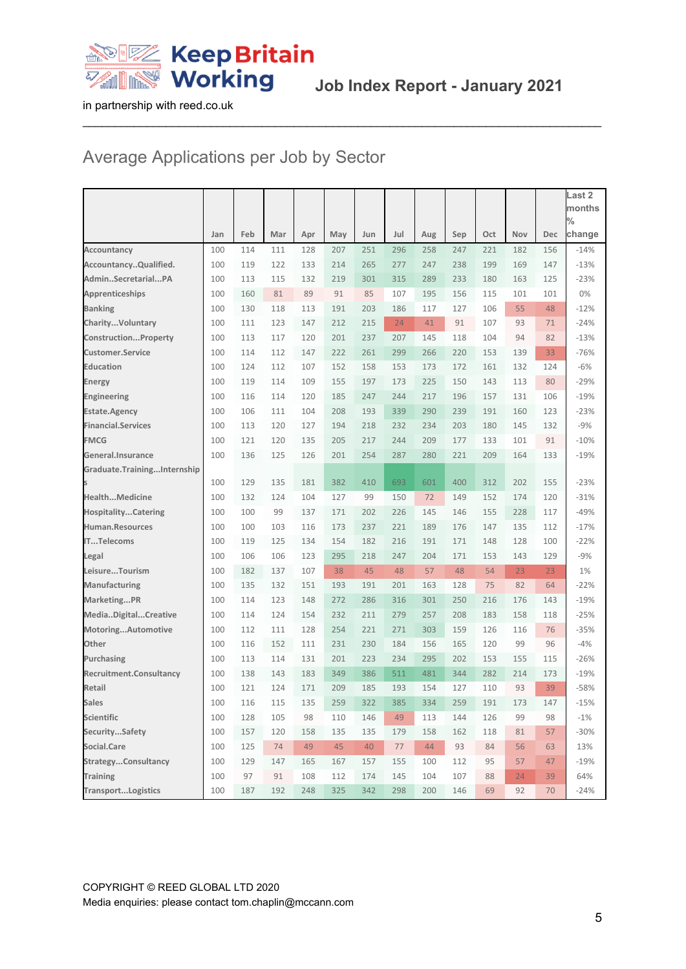

# Average Applications per Job by Sector

|                             |     |     |     |     |     |     |     |     |     |     |     |     | Last <sub>2</sub>       |
|-----------------------------|-----|-----|-----|-----|-----|-----|-----|-----|-----|-----|-----|-----|-------------------------|
|                             |     |     |     |     |     |     |     |     |     |     |     |     | months<br>$\frac{0}{0}$ |
|                             | Jan | Feb | Mar | Apr | May | Jun | Jul | Aug | Sep | Oct | Nov | Dec | change                  |
| <b>Accountancy</b>          | 100 | 114 | 111 | 128 | 207 | 251 | 296 | 258 | 247 | 221 | 182 | 156 | $-14%$                  |
| AccountancyQualified.       | 100 | 119 | 122 | 133 | 214 | 265 | 277 | 247 | 238 | 199 | 169 | 147 | $-13%$                  |
| AdminSecretarialPA          | 100 | 113 | 115 | 132 | 219 | 301 | 315 | 289 | 233 | 180 | 163 | 125 | $-23%$                  |
| Apprenticeships             | 100 | 160 | 81  | 89  | 91  | 85  | 107 | 195 | 156 | 115 | 101 | 101 | 0%                      |
| <b>Banking</b>              | 100 | 130 | 118 | 113 | 191 | 203 | 186 | 117 | 127 | 106 | 55  | 48  | $-12%$                  |
| CharityVoluntary            | 100 | 111 | 123 | 147 | 212 | 215 | 24  | 41  | 91  | 107 | 93  | 71  | $-24%$                  |
| ConstructionProperty        | 100 | 113 | 117 | 120 | 201 | 237 | 207 | 145 | 118 | 104 | 94  | 82  | $-13%$                  |
| <b>Customer.Service</b>     | 100 | 114 | 112 | 147 | 222 | 261 | 299 | 266 | 220 | 153 | 139 | 33  | $-76%$                  |
| <b>Education</b>            | 100 | 124 | 112 | 107 | 152 | 158 | 153 | 173 | 172 | 161 | 132 | 124 | $-6%$                   |
| Energy                      | 100 | 119 | 114 | 109 | 155 | 197 | 173 | 225 | 150 | 143 | 113 | 80  | $-29%$                  |
| Engineering                 | 100 | 116 | 114 | 120 | 185 | 247 | 244 | 217 | 196 | 157 | 131 | 106 | $-19%$                  |
| <b>Estate.Agency</b>        | 100 | 106 | 111 | 104 | 208 | 193 | 339 | 290 | 239 | 191 | 160 | 123 | $-23%$                  |
| <b>Financial.Services</b>   | 100 | 113 | 120 | 127 | 194 | 218 | 232 | 234 | 203 | 180 | 145 | 132 | $-9%$                   |
| <b>FMCG</b>                 | 100 | 121 | 120 | 135 | 205 | 217 | 244 | 209 | 177 | 133 | 101 | 91  | $-10%$                  |
| General.Insurance           | 100 | 136 | 125 | 126 | 201 | 254 | 287 | 280 | 221 | 209 | 164 | 133 | $-19%$                  |
| Graduate.TrainingInternship |     |     |     |     |     |     |     |     |     |     |     |     |                         |
|                             | 100 | 129 | 135 | 181 | 382 | 410 | 693 | 601 | 400 | 312 | 202 | 155 | $-23%$                  |
| <b>HealthMedicine</b>       | 100 | 132 | 124 | 104 | 127 | 99  | 150 | 72  | 149 | 152 | 174 | 120 | $-31%$                  |
| <b>HospitalityCatering</b>  | 100 | 100 | 99  | 137 | 171 | 202 | 226 | 145 | 146 | 155 | 228 | 117 | $-49%$                  |
| Human.Resources             | 100 | 100 | 103 | 116 | 173 | 237 | 221 | 189 | 176 | 147 | 135 | 112 | $-17%$                  |
| ITTelecoms                  | 100 | 119 | 125 | 134 | 154 | 182 | 216 | 191 | 171 | 148 | 128 | 100 | $-22%$                  |
| Legal                       | 100 | 106 | 106 | 123 | 295 | 218 | 247 | 204 | 171 | 153 | 143 | 129 | $-9%$                   |
| LeisureTourism              | 100 | 182 | 137 | 107 | 38  | 45  | 48  | 57  | 48  | 54  | 23  | 23  | 1%                      |
| Manufacturing               | 100 | 135 | 132 | 151 | 193 | 191 | 201 | 163 | 128 | 75  | 82  | 64  | $-22%$                  |
| MarketingPR                 | 100 | 114 | 123 | 148 | 272 | 286 | 316 | 301 | 250 | 216 | 176 | 143 | $-19%$                  |
| MediaDigitalCreative        | 100 | 114 | 124 | 154 | 232 | 211 | 279 | 257 | 208 | 183 | 158 | 118 | $-25%$                  |
| MotoringAutomotive          | 100 | 112 | 111 | 128 | 254 | 221 | 271 | 303 | 159 | 126 | 116 | 76  | $-35%$                  |
| Other                       | 100 | 116 | 152 | 111 | 231 | 230 | 184 | 156 | 165 | 120 | 99  | 96  | $-4%$                   |
| Purchasing                  | 100 | 113 | 114 | 131 | 201 | 223 | 234 | 295 | 202 | 153 | 155 | 115 | $-26%$                  |
| Recruitment.Consultancy     | 100 | 138 | 143 | 183 | 349 | 386 | 511 | 481 | 344 | 282 | 214 | 173 | $-19%$                  |
| Retail                      | 100 | 121 | 124 | 171 | 209 | 185 | 193 | 154 | 127 | 110 | 93  | 39  | $-58%$                  |
| Sales                       | 100 | 116 | 115 | 135 | 259 | 322 | 385 | 334 | 259 | 191 | 173 | 147 | $-15%$                  |
| Scientific                  | 100 | 128 | 105 | 98  | 110 | 146 | 49  | 113 | 144 | 126 | 99  | 98  | $-1%$                   |
| SecuritySafety              | 100 | 157 | 120 | 158 | 135 | 135 | 179 | 158 | 162 | 118 | 81  | 57  | $-30%$                  |
| Social.Care                 | 100 | 125 | 74  | 49  | 45  | 40  | 77  | 44  | 93  | 84  | 56  | 63  | 13%                     |
| StrategyConsultancy         | 100 | 129 | 147 | 165 | 167 | 157 | 155 | 100 | 112 | 95  | 57  | 47  | $-19%$                  |
| <b>Training</b>             | 100 | 97  | 91  | 108 | 112 | 174 | 145 | 104 | 107 | 88  | 24  | 39  | 64%                     |
| TransportLogistics          | 100 | 187 | 192 | 248 | 325 | 342 | 298 | 200 | 146 | 69  | 92  | 70  | $-24%$                  |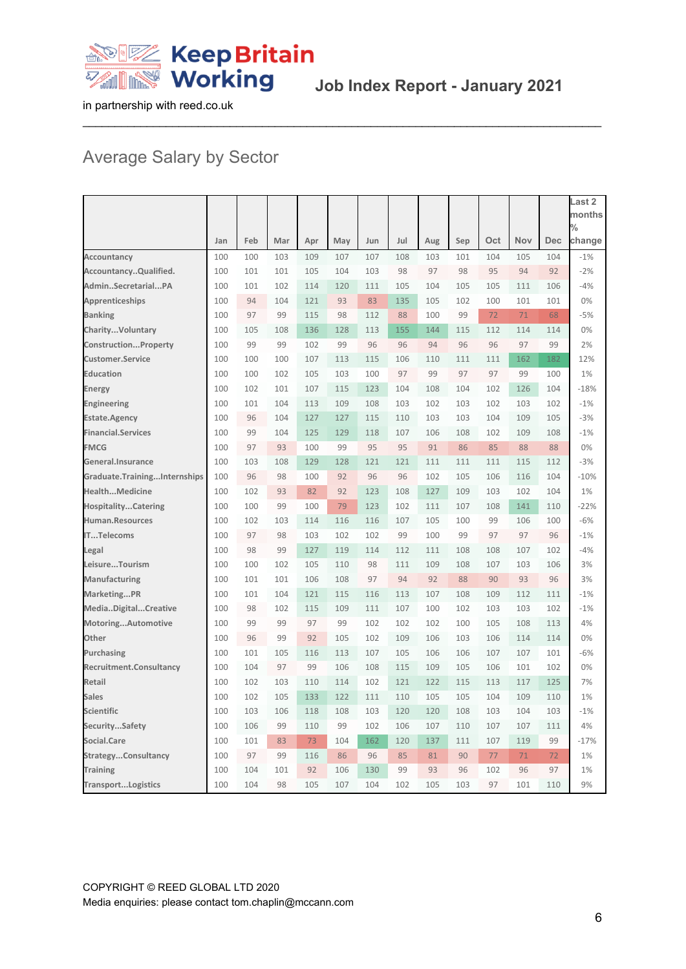

# Average Salary by Sector

|                              |     |     |     |     |     |     |     |     |     |     |            |            | Last 2                  |
|------------------------------|-----|-----|-----|-----|-----|-----|-----|-----|-----|-----|------------|------------|-------------------------|
|                              |     |     |     |     |     |     |     |     |     |     |            |            | months                  |
|                              | Jan | Feb | Mar | Apr | May | Jun | Jul | Aug | Sep | Oct | <b>Nov</b> | <b>Dec</b> | $\frac{0}{0}$<br>change |
| Accountancy                  | 100 | 100 | 103 | 109 | 107 | 107 | 108 | 103 | 101 | 104 | 105        | 104        | $-1%$                   |
| AccountancyQualified.        | 100 | 101 | 101 | 105 | 104 | 103 | 98  | 97  | 98  | 95  | 94         | 92         | $-2%$                   |
| AdminSecretarialPA           | 100 | 101 | 102 | 114 | 120 | 111 | 105 | 104 | 105 | 105 | 111        | 106        | $-4%$                   |
| Apprenticeships              | 100 | 94  | 104 | 121 | 93  | 83  | 135 | 105 | 102 | 100 | 101        | 101        | 0%                      |
| <b>Banking</b>               | 100 | 97  | 99  | 115 | 98  | 112 | 88  | 100 | 99  | 72  | 71         | 68         | $-5%$                   |
| CharityVoluntary             | 100 | 105 | 108 | 136 | 128 | 113 | 155 | 144 | 115 | 112 | 114        | 114        | 0%                      |
| ConstructionProperty         | 100 | 99  | 99  | 102 | 99  | 96  | 96  | 94  | 96  | 96  | 97         | 99         | 2%                      |
| <b>Customer.Service</b>      | 100 | 100 | 100 | 107 | 113 | 115 | 106 | 110 | 111 | 111 | 162        | 182        | 12%                     |
| <b>Education</b>             | 100 | 100 | 102 | 105 | 103 | 100 | 97  | 99  | 97  | 97  | 99         | 100        | 1%                      |
| Energy                       | 100 | 102 | 101 | 107 | 115 | 123 | 104 | 108 | 104 | 102 | 126        | 104        | $-18%$                  |
| Engineering                  | 100 | 101 | 104 | 113 | 109 | 108 | 103 | 102 | 103 | 102 | 103        | 102        | $-1%$                   |
| <b>Estate.Agency</b>         | 100 | 96  | 104 | 127 | 127 | 115 | 110 | 103 | 103 | 104 | 109        | 105        | $-3%$                   |
| <b>Financial.Services</b>    | 100 | 99  | 104 | 125 | 129 | 118 | 107 | 106 | 108 | 102 | 109        | 108        | $-1%$                   |
| <b>FMCG</b>                  | 100 | 97  | 93  | 100 | 99  | 95  | 95  | 91  | 86  | 85  | 88         | 88         | 0%                      |
| General.Insurance            | 100 | 103 | 108 | 129 | 128 | 121 | 121 | 111 | 111 | 111 | 115        | 112        | $-3%$                   |
| Graduate.TrainingInternships | 100 | 96  | 98  | 100 | 92  | 96  | 96  | 102 | 105 | 106 | 116        | 104        | $-10%$                  |
| HealthMedicine               | 100 | 102 | 93  | 82  | 92  | 123 | 108 | 127 | 109 | 103 | 102        | 104        | 1%                      |
| <b>HospitalityCatering</b>   | 100 | 100 | 99  | 100 | 79  | 123 | 102 | 111 | 107 | 108 | 141        | 110        | $-22%$                  |
| Human.Resources              | 100 | 102 | 103 | 114 | 116 | 116 | 107 | 105 | 100 | 99  | 106        | 100        | $-6%$                   |
| <b>ITTelecoms</b>            | 100 | 97  | 98  | 103 | 102 | 102 | 99  | 100 | 99  | 97  | 97         | 96         | $-1%$                   |
| Legal                        | 100 | 98  | 99  | 127 | 119 | 114 | 112 | 111 | 108 | 108 | 107        | 102        | $-4%$                   |
| LeisureTourism               | 100 | 100 | 102 | 105 | 110 | 98  | 111 | 109 | 108 | 107 | 103        | 106        | 3%                      |
| Manufacturing                | 100 | 101 | 101 | 106 | 108 | 97  | 94  | 92  | 88  | 90  | 93         | 96         | 3%                      |
| MarketingPR                  | 100 | 101 | 104 | 121 | 115 | 116 | 113 | 107 | 108 | 109 | 112        | 111        | $-1%$                   |
| MediaDigitalCreative         | 100 | 98  | 102 | 115 | 109 | 111 | 107 | 100 | 102 | 103 | 103        | 102        | $-1%$                   |
| MotoringAutomotive           | 100 | 99  | 99  | 97  | 99  | 102 | 102 | 102 | 100 | 105 | 108        | 113        | 4%                      |
| Other                        | 100 | 96  | 99  | 92  | 105 | 102 | 109 | 106 | 103 | 106 | 114        | 114        | 0%                      |
| Purchasing                   | 100 | 101 | 105 | 116 | 113 | 107 | 105 | 106 | 106 | 107 | 107        | 101        | $-6%$                   |
| Recruitment.Consultancy      | 100 | 104 | 97  | 99  | 106 | 108 | 115 | 109 | 105 | 106 | 101        | 102        | 0%                      |
| Retail                       | 100 | 102 | 103 | 110 | 114 | 102 | 121 | 122 | 115 | 113 | 117        | 125        | 7%                      |
| <b>Sales</b>                 | 100 | 102 | 105 | 133 | 122 | 111 | 110 | 105 | 105 | 104 | 109        | 110        | 1%                      |
| <b>Scientific</b>            | 100 | 103 | 106 | 118 | 108 | 103 | 120 | 120 | 108 | 103 | 104        | 103        | $-1%$                   |
| SecuritySafety               | 100 | 106 | 99  | 110 | 99  | 102 | 106 | 107 | 110 | 107 | 107        | 111        | 4%                      |
| Social.Care                  | 100 | 101 | 83  | 73  | 104 | 162 | 120 | 137 | 111 | 107 | 119        | 99         | $-17%$                  |
| StrategyConsultancy          | 100 | 97  | 99  | 116 | 86  | 96  | 85  | 81  | 90  | 77  | 71         | 72         | 1%                      |
| <b>Training</b>              | 100 | 104 | 101 | 92  | 106 | 130 | 99  | 93  | 96  | 102 | 96         | 97         | 1%                      |
| <b>TransportLogistics</b>    | 100 | 104 | 98  | 105 | 107 | 104 | 102 | 105 | 103 | 97  | 101        | 110        | 9%                      |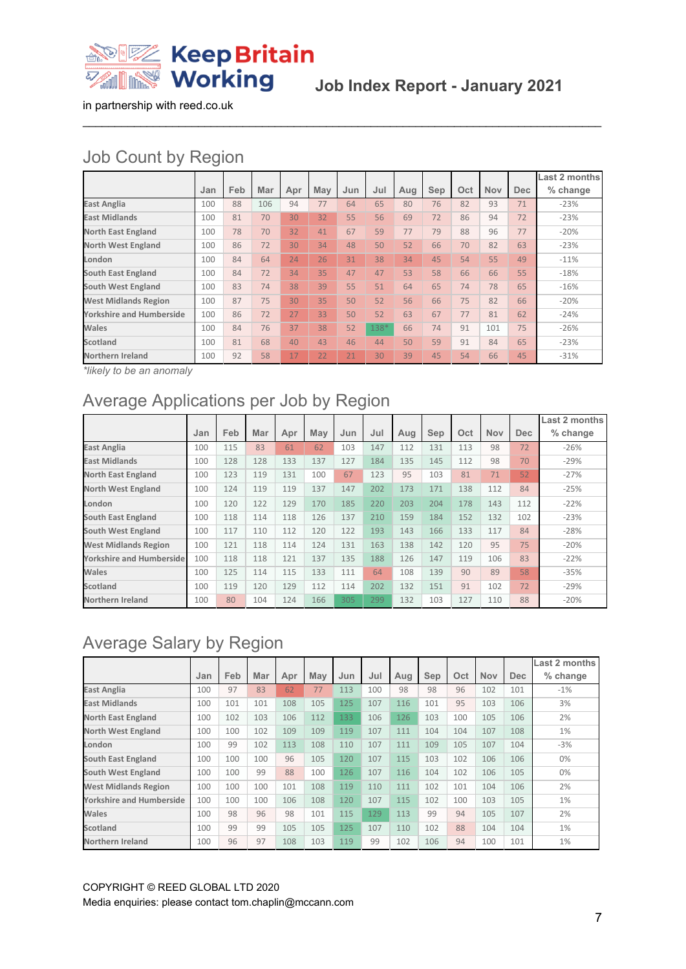

**Job Index Report - January 2021**

in partnership with reed.co.uk

# Job Count by Region

|                                 |     |     |     |     |     |     |      |     |     |     |            |     | Last 2 months |
|---------------------------------|-----|-----|-----|-----|-----|-----|------|-----|-----|-----|------------|-----|---------------|
|                                 | Jan | Feb | Mar | Apr | May | Jun | Jul  | Aug | Sep | Oct | <b>Nov</b> | Dec | % change      |
| <b>East Anglia</b>              | 100 | 88  | 106 | 94  | 77  | 64  | 65   | 80  | 76  | 82  | 93         | 71  | $-23%$        |
| <b>East Midlands</b>            | 100 | 81  | 70  | 30  | 32  | 55  | 56   | 69  | 72  | 86  | 94         | 72  | $-23%$        |
| <b>North East England</b>       | 100 | 78  | 70  | 32  | 41  | 67  | 59   | 77  | 79  | 88  | 96         | 77  | $-20%$        |
| <b>North West England</b>       | 100 | 86  | 72  | 30  | 34  | 48  | 50   | 52  | 66  | 70  | 82         | 63  | $-23%$        |
| London                          | 100 | 84  | 64  | 24  | 26  | 31  | 38   | 34  | 45  | 54  | 55         | 49  | $-11%$        |
| <b>South East England</b>       | 100 | 84  | 72  | 34  | 35  | 47  | 47   | 53  | 58  | 66  | 66         | 55  | $-18%$        |
| South West England              | 100 | 83  | 74  | 38  | 39  | 55  | 51   | 64  | 65  | 74  | 78         | 65  | $-16%$        |
| <b>West Midlands Region</b>     | 100 | 87  | 75  | 30  | 35  | 50  | 52   | 56  | 66  | 75  | 82         | 66  | $-20%$        |
| <b>Yorkshire and Humberside</b> | 100 | 86  | 72  | 27  | 33  | 50  | 52   | 63  | 67  | 77  | 81         | 62  | $-24%$        |
| Wales                           | 100 | 84  | 76  | 37  | 38  | 52  | 138* | 66  | 74  | 91  | 101        | 75  | $-26%$        |
| Scotland                        | 100 | 81  | 68  | 40  | 43  | 46  | 44   | 50  | 59  | 91  | 84         | 65  | $-23%$        |
| <b>Northern Ireland</b>         | 100 | 92  | 58  | 17  | 22  | 21  | 30   | 39  | 45  | 54  | 66         | 45  | $-31%$        |

 $\_$  ,  $\_$  ,  $\_$  ,  $\_$  ,  $\_$  ,  $\_$  ,  $\_$  ,  $\_$  ,  $\_$  ,  $\_$  ,  $\_$  ,  $\_$  ,  $\_$  ,  $\_$  ,  $\_$  ,  $\_$  ,  $\_$  ,  $\_$  ,  $\_$  ,  $\_$  ,  $\_$  ,  $\_$  ,  $\_$  ,  $\_$  ,  $\_$  ,  $\_$  ,  $\_$  ,  $\_$  ,  $\_$  ,  $\_$  ,  $\_$  ,  $\_$  ,  $\_$  ,  $\_$  ,  $\_$  ,  $\_$  ,  $\_$  ,

*\*likely to be an anomaly*

# Average Applications per Job by Region

|                                 |     |     |     |     |     |     |     |     |     |     |            |      | Last 2 months |
|---------------------------------|-----|-----|-----|-----|-----|-----|-----|-----|-----|-----|------------|------|---------------|
|                                 | Jan | Feb | Mar | Apr | May | Jun | Jul | Aug | Sep | Oct | <b>Nov</b> | Dec. | % change      |
| <b>East Anglia</b>              | 100 | 115 | 83  | 61  | 62  | 103 | 147 | 112 | 131 | 113 | 98         | 72   | $-26%$        |
| <b>East Midlands</b>            | 100 | 128 | 128 | 133 | 137 | 127 | 184 | 135 | 145 | 112 | 98         | 70   | $-29%$        |
| <b>North East England</b>       | 100 | 123 | 119 | 131 | 100 | 67  | 123 | 95  | 103 | 81  | 71         | 52   | $-27%$        |
| <b>North West England</b>       | 100 | 124 | 119 | 119 | 137 | 147 | 202 | 173 | 171 | 138 | 112        | 84   | $-25%$        |
| London                          | 100 | 120 | 122 | 129 | 170 | 185 | 220 | 203 | 204 | 178 | 143        | 112  | $-22%$        |
| <b>South East England</b>       | 100 | 118 | 114 | 118 | 126 | 137 | 210 | 159 | 184 | 152 | 132        | 102  | $-23%$        |
| <b>South West England</b>       | 100 | 117 | 110 | 112 | 120 | 122 | 193 | 143 | 166 | 133 | 117        | 84   | $-28%$        |
| <b>West Midlands Region</b>     | 100 | 121 | 118 | 114 | 124 | 131 | 163 | 138 | 142 | 120 | 95         | 75   | $-20%$        |
| <b>Yorkshire and Humberside</b> | 100 | 118 | 118 | 121 | 137 | 135 | 188 | 126 | 147 | 119 | 106        | 83   | $-22%$        |
| Wales                           | 100 | 125 | 114 | 115 | 133 | 111 | 64  | 108 | 139 | 90  | 89         | 58   | $-35%$        |
| Scotland                        | 100 | 119 | 120 | 129 | 112 | 114 | 202 | 132 | 151 | 91  | 102        | 72   | $-29%$        |
| <b>Northern Ireland</b>         | 100 | 80  | 104 | 124 | 166 | 305 | 299 | 132 | 103 | 127 | 110        | 88   | $-20%$        |

# Average Salary by Region

|                                 |     |     |     |     |     |     |     |     |     |     |            |            | Last 2 months |
|---------------------------------|-----|-----|-----|-----|-----|-----|-----|-----|-----|-----|------------|------------|---------------|
|                                 | Jan | Feb | Mar | Apr | May | Jun | Jul | Aug | Sep | Oct | <b>Nov</b> | <b>Dec</b> | % change      |
| <b>East Anglia</b>              | 100 | 97  | 83  | 62  | 77  | 113 | 100 | 98  | 98  | 96  | 102        | 101        | $-1%$         |
| <b>East Midlands</b>            | 100 | 101 | 101 | 108 | 105 | 125 | 107 | 116 | 101 | 95  | 103        | 106        | 3%            |
| <b>North East England</b>       | 100 | 102 | 103 | 106 | 112 | 133 | 106 | 126 | 103 | 100 | 105        | 106        | 2%            |
| <b>North West England</b>       | 100 | 100 | 102 | 109 | 109 | 119 | 107 | 111 | 104 | 104 | 107        | 108        | 1%            |
| London                          | 100 | 99  | 102 | 113 | 108 | 110 | 107 | 111 | 109 | 105 | 107        | 104        | $-3%$         |
| <b>South East England</b>       | 100 | 100 | 100 | 96  | 105 | 120 | 107 | 115 | 103 | 102 | 106        | 106        | 0%            |
| <b>South West England</b>       | 100 | 100 | 99  | 88  | 100 | 126 | 107 | 116 | 104 | 102 | 106        | 105        | 0%            |
| <b>West Midlands Region</b>     | 100 | 100 | 100 | 101 | 108 | 119 | 110 | 111 | 102 | 101 | 104        | 106        | 2%            |
| <b>Yorkshire and Humberside</b> | 100 | 100 | 100 | 106 | 108 | 120 | 107 | 115 | 102 | 100 | 103        | 105        | 1%            |
| Wales                           | 100 | 98  | 96  | 98  | 101 | 115 | 129 | 113 | 99  | 94  | 105        | 107        | 2%            |
| <b>Scotland</b>                 | 100 | 99  | 99  | 105 | 105 | 125 | 107 | 110 | 102 | 88  | 104        | 104        | 1%            |
| Northern Ireland                | 100 | 96  | 97  | 108 | 103 | 119 | 99  | 102 | 106 | 94  | 100        | 101        | 1%            |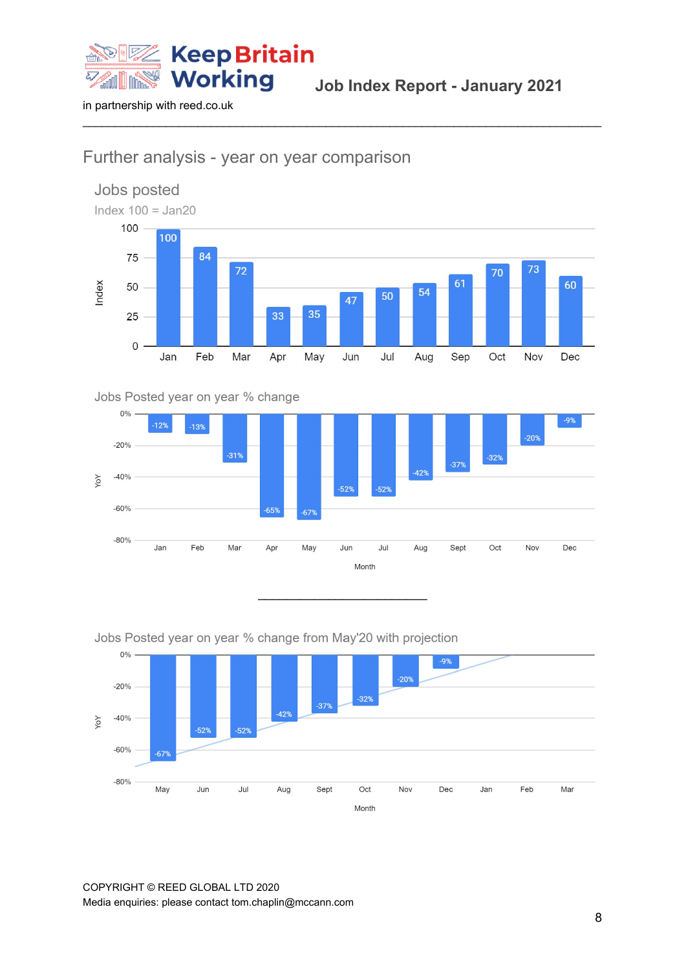

#### Further analysis - year on year comparison



 $\_$  ,  $\_$  ,  $\_$  ,  $\_$  ,  $\_$  ,  $\_$  ,  $\_$  ,  $\_$  ,  $\_$  ,  $\_$  ,  $\_$  ,  $\_$  ,  $\_$  ,  $\_$  ,  $\_$  ,  $\_$  ,  $\_$  ,  $\_$  ,  $\_$  ,  $\_$  ,  $\_$  ,  $\_$  ,  $\_$  ,  $\_$  ,  $\_$  ,  $\_$  ,  $\_$  ,  $\_$  ,  $\_$  ,  $\_$  ,  $\_$  ,  $\_$  ,  $\_$  ,  $\_$  ,  $\_$  ,  $\_$  ,  $\_$  ,

#### Jobs Posted year on year % change



\_\_\_\_\_\_\_\_\_\_\_\_\_\_\_\_\_\_\_\_\_\_\_\_

#### Jobs Posted year on year % change from May'20 with projection



COPYRIGHT © REED GLOBAL LTD 2020 Media enquiries: please contact tom.chaplin@mccann.com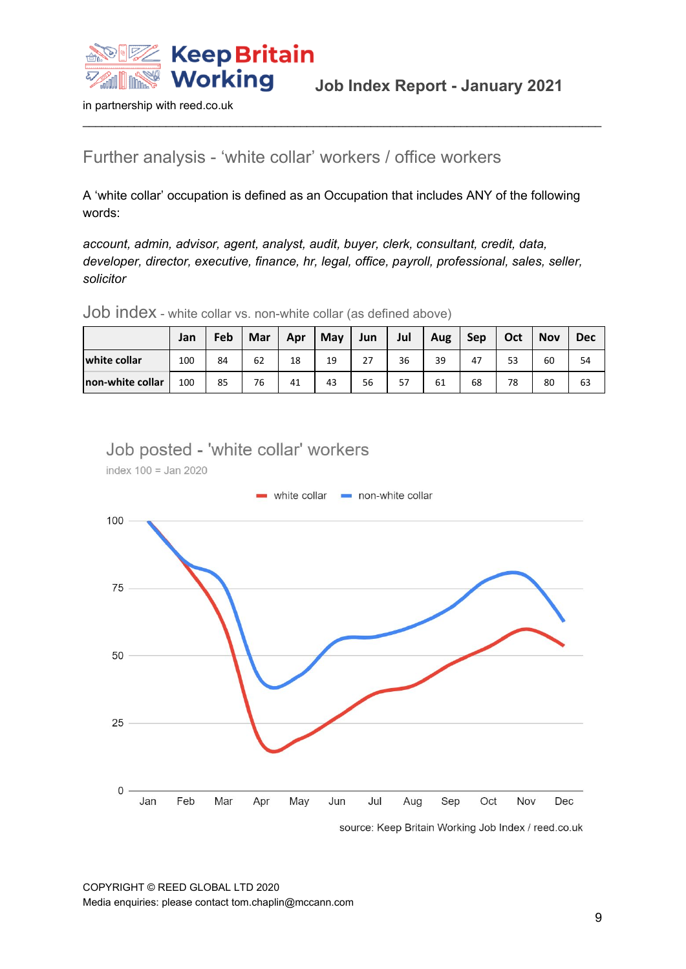

#### Further analysis - 'white collar' workers / office workers

A 'white collar' occupation is defined as an Occupation that includes ANY of the following words:

 $\_$  ,  $\_$  ,  $\_$  ,  $\_$  ,  $\_$  ,  $\_$  ,  $\_$  ,  $\_$  ,  $\_$  ,  $\_$  ,  $\_$  ,  $\_$  ,  $\_$  ,  $\_$  ,  $\_$  ,  $\_$  ,  $\_$  ,  $\_$  ,  $\_$  ,  $\_$  ,  $\_$  ,  $\_$  ,  $\_$  ,  $\_$  ,  $\_$  ,  $\_$  ,  $\_$  ,  $\_$  ,  $\_$  ,  $\_$  ,  $\_$  ,  $\_$  ,  $\_$  ,  $\_$  ,  $\_$  ,  $\_$  ,  $\_$  ,

*account, admin, advisor, agent, analyst, audit, buyer, clerk, consultant, credit, data, developer, director, executive, finance, hr, legal, office, payroll, professional, sales, seller, solicitor*

Job index - white collar vs. non-white collar (as defined above)

|                  | Jan | Feb | Mar | Apr | May | Jun | Jul | Aug | Sep | Oct | <b>Nov</b> | <b>Dec</b> |
|------------------|-----|-----|-----|-----|-----|-----|-----|-----|-----|-----|------------|------------|
| white collar     | 100 | 84  | 62  | 18  | 19  | 27  | 36  | 39  | 47  | 53  | 60         | 54         |
| non-white collar | 100 | 85  | 76  | 41  | 43  | 56  | 57  | 61  | 68  | 78  | 80         | 63         |

Job posted - 'white collar' workers

index  $100 =$  Jan 2020



source: Keep Britain Working Job Index / reed.co.uk